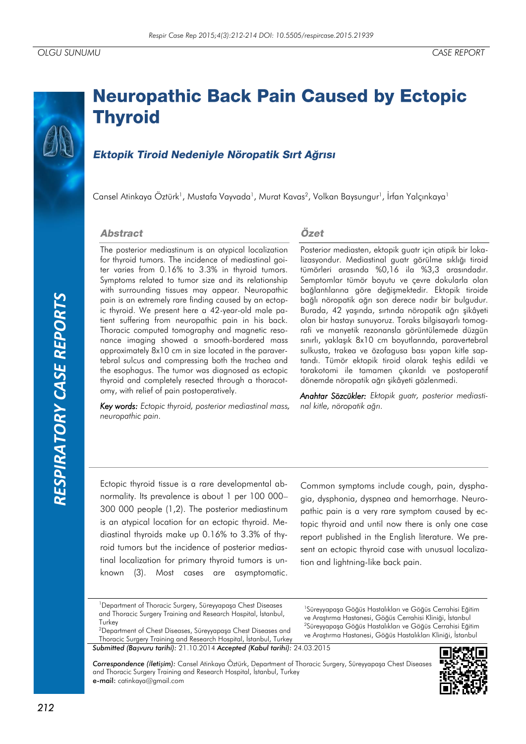# *RESPIRATORY CASE REPORTS*RESPIRATORY CASE REPORTS

# **Neuropathic Back Pain Caused by Ectopic Thyroid**

# Ektopik Tiroid Nedeniyle Nöropatik Sırt Ağrısı

Cansel Atinkaya Öztürk<sup>1</sup>, Mustafa Vayvada<sup>1</sup>, Murat Kavas<sup>2</sup>, Volkan Baysungur<sup>1</sup>, İrfan Yalçınkaya<sup>1</sup>

### **Abstract**

The posterior mediastinum is an atypical localization for thyroid tumors. The incidence of mediastinal goiter varies from 0.16% to 3.3% in thyroid tumors. Symptoms related to tumor size and its relationship with surrounding tissues may appear. Neuropathic pain is an extremely rare finding caused by an ectopic thyroid. We present here a 42-year-old male patient suffering from neuropathic pain in his back. Thoracic computed tomography and magnetic resonance imaging showed a smooth-bordered mass approximately 8x10 cm in size located in the paravertebral sulcus and compressing both the trachea and the esophagus. The tumor was diagnosed as ectopic thyroid and completely resected through a thoracotomy, with relief of pain postoperatively.

*Key words: Ectopic thyroid, posterior mediastinal mass, neuropathic pain.*

# Özet

Posterior mediasten, ektopik guatr için atipik bir lokalizasyondur. Mediastinal guatr görülme sıklığı tiroid tümörleri arasında %0,16 ila %3,3 arasındadır. Semptomlar tümör boyutu ve çevre dokularla olan bağlantılarına göre değişmektedir. Ektopik tiroide bağlı nöropatik ağrı son derece nadir bir bulgudur. Burada, 42 yaşında, sırtında nöropatik ağrı şikâyeti olan bir hastayı sunuyoruz. Toraks bilgisayarlı tomografi ve manyetik rezonansla görüntülemede düzgün sınırlı, yaklaşık 8x10 cm boyutlarında, paravertebral sulkusta, trakea ve özofagusa bası yapan kitle saptandı. Tümör ektopik tiroid olarak teşhis edildi ve torakotomi ile tamamen çıkarıldı ve postoperatif dönemde nöropatik ağrı şikâyeti gözlenmedi.

*Anahtar Sözcükler: Ektopik guatr, posterior mediastinal kitle, nöropatik ağrı.*

Ectopic thyroid tissue is a rare developmental abnormality. Its prevalence is about 1 per 100 000– 300 000 people (1,2). The posterior mediastinum is an atypical location for an ectopic thyroid. Mediastinal thyroids make up 0.16% to 3.3% of thyroid tumors but the incidence of posterior mediastinal localization for primary thyroid tumors is unknown (3). Most cases are asymptomatic.

Common symptoms include cough, pain, dysphagia, dysphonia, dyspnea and hemorrhage. Neuropathic pain is a very rare symptom caused by ectopic thyroid and until now there is only one case report published in the English literature. We present an ectopic thyroid case with unusual localization and lightning-like back pain.

<sup>1</sup>Süreyyapaşa Göğüs Hastalıkları ve Göğüs Cerrahisi Eğitim ve Araştırma Hastanesi, Göğüs Cerrahisi Kliniği, İstanbul <sup>2</sup>Süreyyapaşa Göğüs Hastalıkları ve Göğüs Cerrahisi Eğitim ve Araştırma Hastanesi, Göğüs Hastalıkları Kliniği, İstanbul

*Correspondence (İletişim):* Cansel Atinkaya Öztürk, Department of Thoracic Surgery, Süreyyapaşa Chest Diseases and Thoracic Surgery Training and Research Hospital, İstanbul, Turkey e-mail: catinkaya@gmail.com



<sup>&</sup>lt;sup>1</sup> Department of Thoracic Surgery, Süreyyapasa Chest Diseases and Thoracic Surgery Training and Research Hospital, İstanbul, **Turkey** 

<sup>2</sup>Department of Chest Diseases, Süreyyapaşa Chest Diseases and Thoracic Surgery Training and Research Hospital, İstanbul, Turkey *Submitted (Başvuru tarihi):* 21.10.2014 *Accepted (Kabul tarihi):* 24.03.2015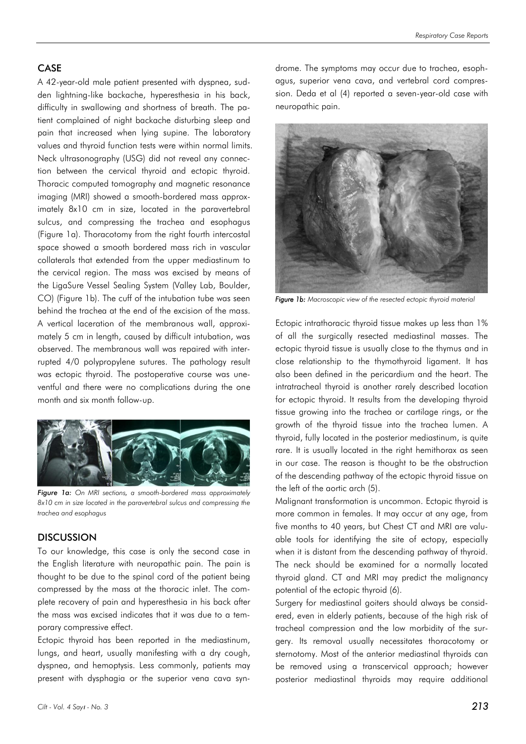### CASE

A 42-year-old male patient presented with dyspnea, sudden lightning-like backache, hyperesthesia in his back, difficulty in swallowing and shortness of breath. The patient complained of night backache disturbing sleep and pain that increased when lying supine. The laboratory values and thyroid function tests were within normal limits. Neck ultrasonography (USG) did not reveal any connection between the cervical thyroid and ectopic thyroid. Thoracic computed tomography and magnetic resonance imaging (MRI) showed a smooth-bordered mass approximately 8x10 cm in size, located in the paravertebral sulcus, and compressing the trachea and esophagus (Figure 1a). Thoracotomy from the right fourth intercostal space showed a smooth bordered mass rich in vascular collaterals that extended from the upper mediastinum to the cervical region. The mass was excised by means of the LigaSure Vessel Sealing System (Valley Lab, Boulder, CO) (Figure 1b). The cuff of the intubation tube was seen behind the trachea at the end of the excision of the mass. A vertical laceration of the membranous wall, approximately 5 cm in length, caused by difficult intubation, was observed. The membranous wall was repaired with interrupted 4/0 polypropylene sutures. The pathology result was ectopic thyroid. The postoperative course was uneventful and there were no complications during the one month and six month follow-up.



*Figure 1a: On MRI sections, a smooth-bordered mass approximately 8x10 cm in size located in the paravertebral sulcus and compressing the trachea and esophagus*

### DISCUSSION

To our knowledge, this case is only the second case in the English literature with neuropathic pain. The pain is thought to be due to the spinal cord of the patient being compressed by the mass at the thoracic inlet. The complete recovery of pain and hyperesthesia in his back after the mass was excised indicates that it was due to a temporary compressive effect.

Ectopic thyroid has been reported in the mediastinum, lungs, and heart, usually manifesting with a dry cough, dyspnea, and hemoptysis. Less commonly, patients may present with dysphagia or the superior vena cava syn-



*Figure 1b: Macroscopic view of the resected ectopic thyroid material*

Ectopic intrathoracic thyroid tissue makes up less than 1% of all the surgically resected mediastinal masses. The ectopic thyroid tissue is usually close to the thymus and in close relationship to the thymothyroid ligament. It has also been defined in the pericardium and the heart. The intratracheal thyroid is another rarely described location for ectopic thyroid. It results from the developing thyroid tissue growing into the trachea or cartilage rings, or the growth of the thyroid tissue into the trachea lumen. A thyroid, fully located in the posterior mediastinum, is quite rare. It is usually located in the right hemithorax as seen in our case. The reason is thought to be the obstruction of the descending pathway of the ectopic thyroid tissue on the left of the aortic arch (5).

Malignant transformation is uncommon. Ectopic thyroid is more common in females. It may occur at any age, from five months to 40 years, but Chest CT and MRI are valuable tools for identifying the site of ectopy, especially when it is distant from the descending pathway of thyroid. The neck should be examined for a normally located thyroid gland. CT and MRI may predict the malignancy potential of the ectopic thyroid (6).

Surgery for mediastinal goiters should always be considered, even in elderly patients, because of the high risk of tracheal compression and the low morbidity of the surgery. Its removal usually necessitates thoracotomy or sternotomy. Most of the anterior mediastinal thyroids can be removed using a transcervical approach; however posterior mediastinal thyroids may require additional